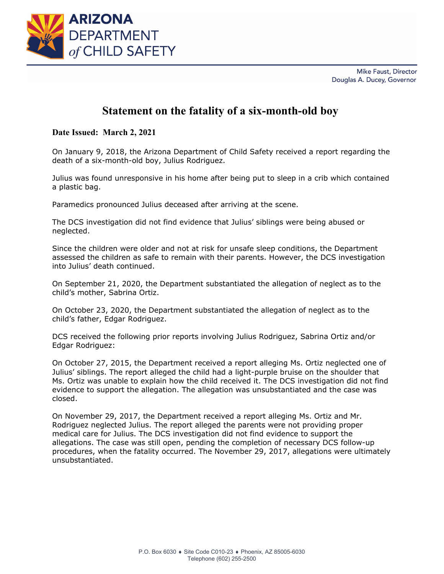

Mike Faust, Director Douglas A. Ducey, Governor

## **Statement on the fatality of a six-month-old boy**

**Date Issued: March 2, 2021**

On January 9, 2018, the Arizona Department of Child Safety received a report regarding the death of a six-month-old boy, Julius Rodriguez.

Julius was found unresponsive in his home after being put to sleep in a crib which contained a plastic bag.

Paramedics pronounced Julius deceased after arriving at the scene.

The DCS investigation did not find evidence that Julius' siblings were being abused or neglected.

Since the children were older and not at risk for unsafe sleep conditions, the Department assessed the children as safe to remain with their parents. However, the DCS investigation into Julius' death continued.

On September 21, 2020, the Department substantiated the allegation of neglect as to the child's mother, Sabrina Ortiz.

On October 23, 2020, the Department substantiated the allegation of neglect as to the child's father, Edgar Rodriguez.

DCS received the following prior reports involving Julius Rodriguez, Sabrina Ortiz and/or Edgar Rodriguez:

On October 27, 2015, the Department received a report alleging Ms. Ortiz neglected one of Julius' siblings. The report alleged the child had a light-purple bruise on the shoulder that Ms. Ortiz was unable to explain how the child received it. The DCS investigation did not find evidence to support the allegation. The allegation was unsubstantiated and the case was closed.

On November 29, 2017, the Department received a report alleging Ms. Ortiz and Mr. Rodriguez neglected Julius. The report alleged the parents were not providing proper medical care for Julius. The DCS investigation did not find evidence to support the allegations. The case was still open, pending the completion of necessary DCS follow-up procedures, when the fatality occurred. The November 29, 2017, allegations were ultimately unsubstantiated.